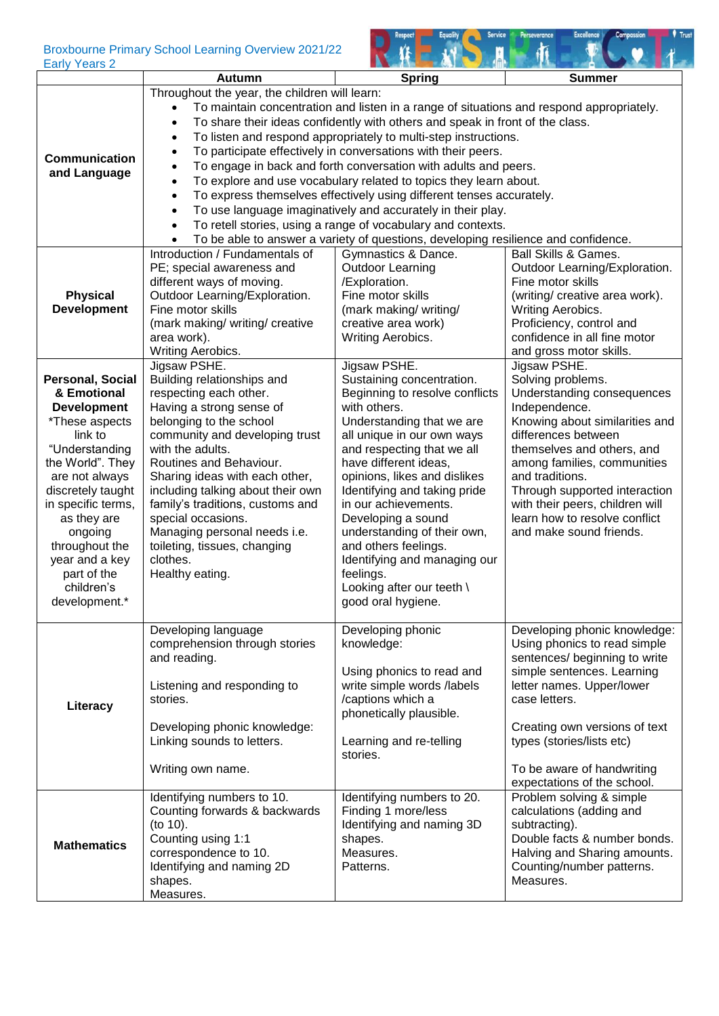## Broxbourne Primary School Learning Overview 2021/22

| <b>Early Years 2</b>                                                                                                                                                                                                                                                                                     | DIOXDOUTIE FIIIIIAI V SCHOOL LEATHING OVERVIEW ZUZ 1/22                                                                                                                                                                                                                                                                                                                                                                                      |                                                                                                                                                                                                                                                                                                                                                                                                                                                                                                                                                                                                                                                                                                                                                                                                                                                                                                                                                                                                                      |                                                                                                                                                                                                                                                                                                                                                           |  |
|----------------------------------------------------------------------------------------------------------------------------------------------------------------------------------------------------------------------------------------------------------------------------------------------------------|----------------------------------------------------------------------------------------------------------------------------------------------------------------------------------------------------------------------------------------------------------------------------------------------------------------------------------------------------------------------------------------------------------------------------------------------|----------------------------------------------------------------------------------------------------------------------------------------------------------------------------------------------------------------------------------------------------------------------------------------------------------------------------------------------------------------------------------------------------------------------------------------------------------------------------------------------------------------------------------------------------------------------------------------------------------------------------------------------------------------------------------------------------------------------------------------------------------------------------------------------------------------------------------------------------------------------------------------------------------------------------------------------------------------------------------------------------------------------|-----------------------------------------------------------------------------------------------------------------------------------------------------------------------------------------------------------------------------------------------------------------------------------------------------------------------------------------------------------|--|
|                                                                                                                                                                                                                                                                                                          | <b>Autumn</b>                                                                                                                                                                                                                                                                                                                                                                                                                                | <b>Spring</b>                                                                                                                                                                                                                                                                                                                                                                                                                                                                                                                                                                                                                                                                                                                                                                                                                                                                                                                                                                                                        | <b>Summer</b>                                                                                                                                                                                                                                                                                                                                             |  |
| <b>Communication</b><br>and Language<br><b>Physical</b><br><b>Development</b>                                                                                                                                                                                                                            | Throughout the year, the children will learn:<br>$\bullet$<br>$\bullet$<br>$\bullet$<br>$\bullet$<br>$\bullet$<br>$\bullet$<br>$\bullet$<br>$\bullet$<br>$\bullet$<br>Introduction / Fundamentals of<br>PE; special awareness and<br>different ways of moving.<br>Outdoor Learning/Exploration.<br>Fine motor skills                                                                                                                         | To maintain concentration and listen in a range of situations and respond appropriately.<br>To share their ideas confidently with others and speak in front of the class.<br>To listen and respond appropriately to multi-step instructions.<br>To participate effectively in conversations with their peers.<br>To engage in back and forth conversation with adults and peers.<br>To explore and use vocabulary related to topics they learn about.<br>To express themselves effectively using different tenses accurately.<br>To use language imaginatively and accurately in their play.<br>To retell stories, using a range of vocabulary and contexts.<br>To be able to answer a variety of questions, developing resilience and confidence.<br>Gymnastics & Dance.<br><b>Ball Skills &amp; Games.</b><br><b>Outdoor Learning</b><br>Outdoor Learning/Exploration.<br>/Exploration.<br>Fine motor skills<br>Fine motor skills<br>(writing/ creative area work).<br>(mark making/ writing/<br>Writing Aerobics. |                                                                                                                                                                                                                                                                                                                                                           |  |
|                                                                                                                                                                                                                                                                                                          | (mark making/ writing/ creative<br>area work).<br>Writing Aerobics.                                                                                                                                                                                                                                                                                                                                                                          | creative area work)<br>Writing Aerobics.                                                                                                                                                                                                                                                                                                                                                                                                                                                                                                                                                                                                                                                                                                                                                                                                                                                                                                                                                                             | Proficiency, control and<br>confidence in all fine motor<br>and gross motor skills.                                                                                                                                                                                                                                                                       |  |
| <b>Personal, Social</b><br>& Emotional<br><b>Development</b><br>*These aspects<br>link to<br>"Understanding<br>the World". They<br>are not always<br>discretely taught<br>in specific terms,<br>as they are<br>ongoing<br>throughout the<br>year and a key<br>part of the<br>children's<br>development.* | Jigsaw PSHE.<br>Building relationships and<br>respecting each other.<br>Having a strong sense of<br>belonging to the school<br>community and developing trust<br>with the adults.<br>Routines and Behaviour.<br>Sharing ideas with each other,<br>including talking about their own<br>family's traditions, customs and<br>special occasions.<br>Managing personal needs i.e.<br>toileting, tissues, changing<br>clothes.<br>Healthy eating. | Jigsaw PSHE.<br>Sustaining concentration.<br>Beginning to resolve conflicts<br>with others.<br>Understanding that we are<br>all unique in our own ways<br>and respecting that we all<br>have different ideas,<br>opinions, likes and dislikes<br>Identifying and taking pride<br>in our achievements.<br>Developing a sound<br>understanding of their own,<br>and others feelings.<br>Identifying and managing our<br>feelings.<br>Looking after our teeth \<br>good oral hygiene.                                                                                                                                                                                                                                                                                                                                                                                                                                                                                                                                   | Jigsaw PSHE.<br>Solving problems.<br>Understanding consequences<br>Independence.<br>Knowing about similarities and<br>differences between<br>themselves and others, and<br>among families, communities<br>and traditions.<br>Through supported interaction<br>with their peers, children will<br>learn how to resolve conflict<br>and make sound friends. |  |
| Literacy                                                                                                                                                                                                                                                                                                 | Developing language<br>comprehension through stories<br>and reading.<br>Listening and responding to<br>stories.<br>Developing phonic knowledge:<br>Linking sounds to letters.<br>Writing own name.                                                                                                                                                                                                                                           | Developing phonic<br>knowledge:<br>Using phonics to read and<br>write simple words /labels<br>/captions which a<br>phonetically plausible.<br>Learning and re-telling<br>stories.                                                                                                                                                                                                                                                                                                                                                                                                                                                                                                                                                                                                                                                                                                                                                                                                                                    | Developing phonic knowledge:<br>Using phonics to read simple<br>sentences/ beginning to write<br>simple sentences. Learning<br>letter names. Upper/lower<br>case letters.<br>Creating own versions of text<br>types (stories/lists etc)<br>To be aware of handwriting<br>expectations of the school.                                                      |  |
| <b>Mathematics</b>                                                                                                                                                                                                                                                                                       | Identifying numbers to 10.<br>Counting forwards & backwards<br>(to 10).<br>Counting using 1:1<br>correspondence to 10.<br>Identifying and naming 2D<br>shapes.<br>Measures.                                                                                                                                                                                                                                                                  | Identifying numbers to 20.<br>Finding 1 more/less<br>Identifying and naming 3D<br>shapes.<br>Measures.<br>Patterns.                                                                                                                                                                                                                                                                                                                                                                                                                                                                                                                                                                                                                                                                                                                                                                                                                                                                                                  | Problem solving & simple<br>calculations (adding and<br>subtracting).<br>Double facts & number bonds.<br>Halving and Sharing amounts.<br>Counting/number patterns.<br>Measures.                                                                                                                                                                           |  |

Service Perseverance

Excellence

Compassion

 $\bullet$  Trust

Respect Equality